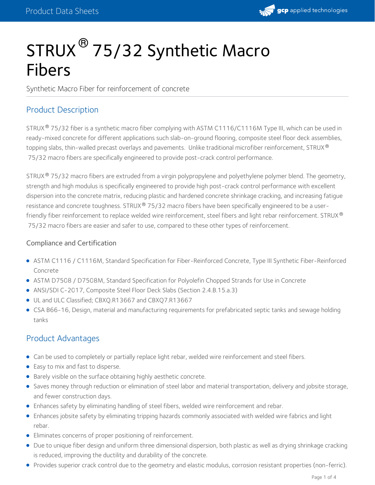

# STRUX<sup>®</sup> 75/32 Synthetic Macro Fibers

Synthetic Macro Fiber for reinforcement of concrete

## Product Description

STRUX® 75/32 fiber is a synthetic macro fiber complying with ASTM C1116/C1116M Type III, which can be used in ready-mixed concrete for different applications such slab-on-ground flooring, composite steel floor deck assemblies, topping slabs, thin-walled precast overlays and pavements. Unlike traditional microfiber reinforcement, STRUX ® 75/32 macro fibers are specifically engineered to provide post-crack control performance.

STRUX $^{\circledR}$  75/32 macro fibers are extruded from a virgin polypropylene and polyethylene polymer blend. The geometry, strength and high modulus is specifically engineered to provide high post-crack control performance with excellent dispersion into the concrete matrix, reducing plastic and hardened concrete shrinkage cracking, and increasing fatigue resistance and concrete toughness. STRUX® 75/32 macro fibers have been specifically engineered to be a userfriendly fiber reinforcement to replace welded wire reinforcement, steel fibers and light rebar reinforcement. STRUX ® 75/32 macro fibers are easier and safer to use, compared to these other types of reinforcement.

### Compliance and Certification

- ASTM C1116 /C1116M, Standard Specification for Fiber-Reinforced Concrete, Type III Synthetic Fiber-Reinforced Concrete
- ASTM D7508 / D7508M, Standard Specification for Polyolefin Chopped Strands for Use in Concrete
- ANSI/SDI C-2017, Composite Steel Floor Deck Slabs (Section 2.4.B.15.a.3)
- UL and ULC Classified; CBXQ.R13667 and CBXQ7.R13667
- CSA B66-16, Design, material and manufacturing requirements for prefabricated septic tanks and sewage holding tanks

### Product Advantages

- Can be used to completely or partially replace light rebar, welded wire reinforcement and steel fibers.
- Easy to mix and fast to disperse.
- Barely visible on the surface obtaining highly aesthetic concrete.
- Saves money through reduction or elimination of steel labor and material transportation, delivery and jobsite storage, and fewer construction days.
- Enhances safety by eliminating handling of steel fibers, welded wire reinforcement and rebar.
- Enhances jobsite safety by eliminating tripping hazards commonly associated with welded wire fabrics and light rebar.
- Eliminates concerns of proper positioning of reinforcement.
- Due to unique fiber design and uniform three dimensional dispersion, both plastic as well as drying shrinkage cracking is reduced, improving the ductility and durability of the concrete.
- Provides superior crack control due to the geometry and elastic modulus, corrosion resistant properties (non-ferric).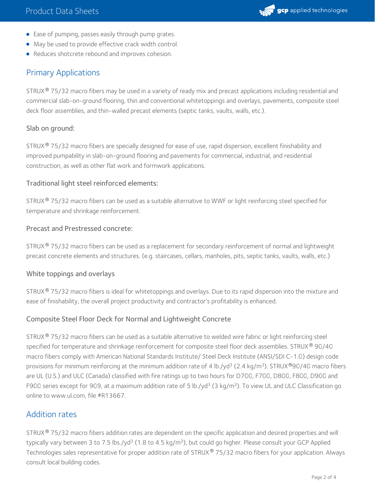- Ease of pumping, passes easily through pump grates.
- May be used to provide effective crack width control.
- Reduces shotcrete rebound and improves cohesion.

# Primary Applications

STRUX® 75/32 macro fibers may be used in a variety of ready mix and precast applications including residential and commercial slab-on-ground flooring, thin and conventional whitetoppings and overlays, pavements, composite steel deck floor assemblies, and thin-walled precast elements (septic tanks, vaults, walls, etc.).

### Slab on ground:

STRUX® 75/32 macro fibers are specially designed for ease of use, rapid dispersion, excellent finishability and improved pumpability in slab-on-ground flooring and pavements for commercial, industrial, and residential construction, as well as other flat work and formwork applications.

### Traditional light steel reinforced elements:

STRUX  $^\circ$  75/32 macro fibers can be used as a suitable alternative to WWF or light reinforcing steel specified for temperature and shrinkage reinforcement.

### Precast and Prestressed concrete:

STRUX® 75/32 macro fibers can be used as a replacement for secondary reinforcement of normal and lightweight precast concrete elements and structures. (e.g. staircases, cellars, manholes, pits, septic tanks, vaults, walls, etc.)

### White toppings and overlays

STRUX® 75/32 macro fibers is ideal for whitetoppings and overlays. Due to its rapid dispersion into the mixture and ease of finishability, the overall project productivity and contractor's profitability is enhanced.

### Composite Steel Floor Deck for Normal and Lightweight Concrete

STRUX® 75/32 macro fibers can be used as a suitable alternative to welded wire fabric or light reinforcing steel specified for temperature and shrinkage reinforcement for composite steel floor deck assemblies. STRUX  $^\circ$  90/40 macro fibers comply with American National Standards Institute/ Steel Deck Institute (ANSI/SDI C-1.0) design code provisions for minimum reinforcing at the minimum addition rate of 4 lb./yd<sup>3</sup> (2.4 kg/m<sup>3</sup>). STRUX®90/40 macro fibers are UL (U.S.) and ULC (Canada) classified with fire ratings up to two hours for D700, F700, D800, F800, D900 and F900 series except for 909, at a maximum addition rate of 5 lb./yd<sup>3</sup> (3 kg/m<sup>3</sup>). To view UL and ULC Classification go online to www.ul.com, file #R13667.

# Addition rates

STRUX $^{\circledR}$  75/32 macro fibers addition rates are dependent on the specific application and desired properties and will typically vary between 3 to 7.5 lbs./yd<sup>3</sup> (1.8 to 4.5 kg/m<sup>3</sup>), but could go higher. Please consult your GCP Applied Technologies sales representative for proper addition rate of STRUX® 75/32 macro fibers for your application. Always consult local building codes.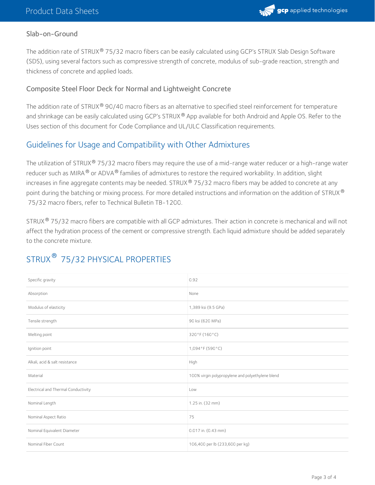

#### Slab-on-Ground

The addition rate of STRUX® 75/32 macro fibers can be easily calculated using GCP's STRUX Slab Design Software (SDS), using several factors such as compressive strength of concrete, modulus of sub-grade reaction, strength and thickness of concrete and applied loads.

#### Composite Steel Floor Deck for Normal and Lightweight Concrete

The addition rate of STRUX $^{\circledR}$  90/40 macro fibers as an alternative to specified steel reinforcement for temperature and shrinkage can be easily calculated using GCP's STRUX® App available for both Android and Apple OS. Refer to the Uses section of this document for Code Compliance and UL/ULC Classification requirements.

### Guidelines for Usage and Compatibility with Other Admixtures

The utilization of STRUX $^{\circledR}$  75/32 macro fibers may require the use of a mid-range water reducer or a high-range water reducer such as MIRA  $^\circledR$  or ADVA  $^\circledR$  families of admixtures to restore the required workability. In addition, slight increases in fine aggregate contents may be needed. STRUX® 75/32 macro fibers may be added to concrete at any point during the batching or mixing process. For more detailed instructions and information on the addition of STRUX  $^\circ$ 75/32 macro fibers, refer to Technical Bulletin TB-1200.

STRUX® 75/32 macro fibers are compatible with all GCP admixtures. Their action in concrete is mechanical and will not affect the hydration process of the cement or compressive strength. Each liquid admixture should be added separately to the concrete mixture.

| Specific gravity                    | 0.92                                             |
|-------------------------------------|--------------------------------------------------|
| Absorption                          | None                                             |
| Modulus of elasticity               | 1,389 ksi (9.5 GPa)                              |
| Tensile strength                    | 90 ksi (620 MPa)                                 |
| Melting point                       | 320°F (160°C)                                    |
| Ignition point                      | 1,094°F (590°C)                                  |
| Alkali, acid & salt resistance      | High                                             |
| Material                            | 100% virgin polypropylene and polyethylene blend |
| Electrical and Thermal Conductivity | Low                                              |
| Nominal Length                      | 1.25 in. (32 mm)                                 |
| Nominal Aspect Ratio                | 75                                               |
| Nominal Equivalent Diameter         | 0.017 in. (0.43 mm)                              |
| Nominal Fiber Count                 | 106,400 per lb (233,600 per kg)                  |

# STRUX <sup>®</sup> 75/32 PHYSICAL PROPERTIES